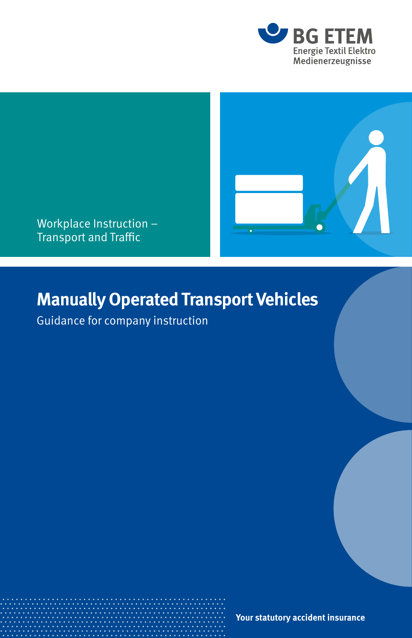



Workplace Instruction – Transport and Traffic

## **Manually Operated Transport Vehicles**

Guidance for company instruction

**Your statutory accident insurance**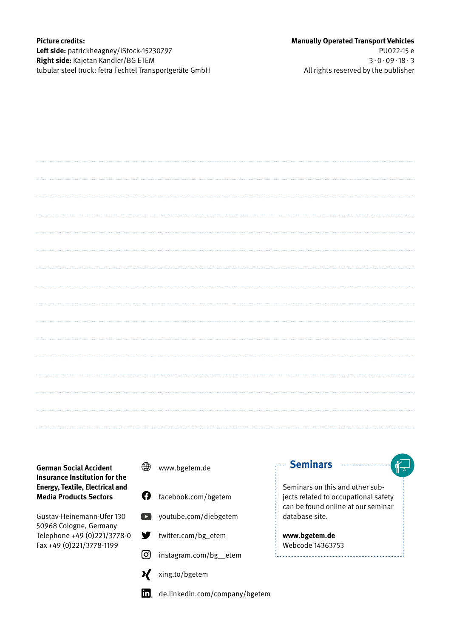### **Picture credits: Left side:** patrickheagney/iStock-15230797 **Right side:** Kajetan Kandler/BG ETEM tubular steel truck: fetra Fechtel Transportgeräte GmbH

### **German Social Accident Insurance Institution for the Energy, Textile, Electrical and Media Products Sectors**

Gustav-Heinemann-Ufer 130 50968 Cologne, Germany Telephone +49 (0)221/3778-0 Fax +49 (0)221/3778-1199

- ∰ www.bgetem.de
- Q. facebook.com/bgetem



- Y twitter.com/bg\_etem
- ര്ര instagram.com/bg\_\_etem
	- - xing.to/bgetem



m<sub>a</sub> de.linkedin.com/company/bgetem

### **Seminars <b>Seminars**

Seminars on this and other subjects related to occupational safety can be found online at our seminar database site.

**www.bgetem.de** Webcode 14363753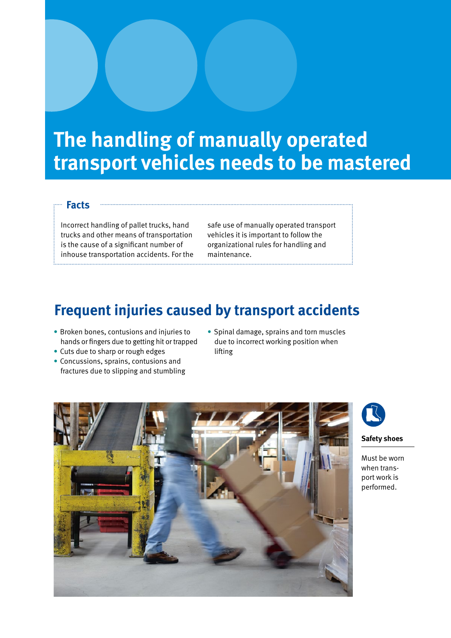# **The handling of manually operated transport vehicles needs to be mastered**

### **Facts**

Incorrect handling of pallet trucks, hand trucks and other means of transportation is the cause of a significant number of inhouse transportation accidents. For the

safe use of manually operated transport vehicles it is important to follow the organizational rules for handling and maintenance.

### **Frequent injuries caused by transport accidents**

- Broken bones, contusions and injuries to hands or fingers due to getting hit or trapped
- Cuts due to sharp or rough edges
- Concussions, sprains, contusions and fractures due to slipping and stumbling
- Spinal damage, sprains and torn muscles due to incorrect working position when lifting





**Safety shoes**

Must be worn when transport work is performed.